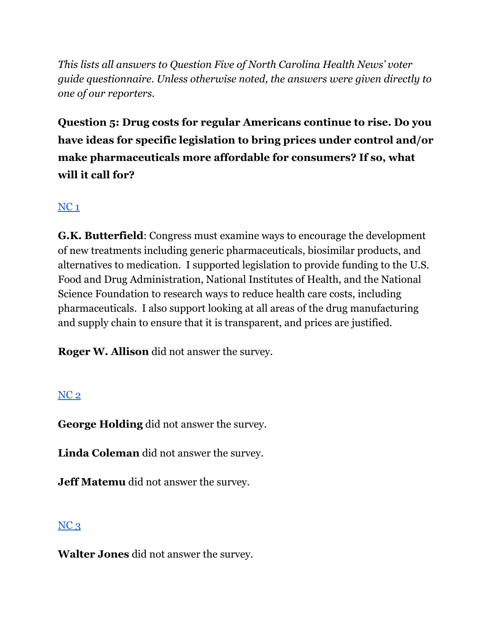*This lists all answers to Question Five of North Carolina Health News' voter guide questionnaire. Unless otherwise noted, the answers were given directly to one of our reporters.*

**Question 5: Drug costs for regular Americans continue to rise. Do you have ideas for specific legislation to bring prices under control and/or make pharmaceuticals more affordable for consumers? If so, what will it call for?**

# [NC](https://docs.google.com/document/d/1QKoGh33FjmS89YNY1wDfJ6fB9ikH0fC117WjizExMhc/edit?usp=sharing)<sub>1</sub>

**G.K. Butterfield**: Congress must examine ways to encourage the development of new treatments including generic pharmaceuticals, biosimilar products, and alternatives to medication. I supported legislation to provide funding to the U.S. Food and Drug Administration, National Institutes of Health, and the National Science Foundation to research ways to reduce health care costs, including pharmaceuticals. I also support looking at all areas of the drug manufacturing and supply chain to ensure that it is transparent, and prices are justified.

**Roger W. Allison** did not answer the survey.

#### [NC](https://docs.google.com/document/d/1QKoGh33FjmS89YNY1wDfJ6fB9ikH0fC117WjizExMhc/edit?usp=sharing) 2

**George Holding** did not answer the survey.

**Linda Coleman** did not answer the survey.

**Jeff Matemu** did not answer the survey.

## $NC<sub>3</sub>$  $NC<sub>3</sub>$

**Walter Jones** did not answer the survey.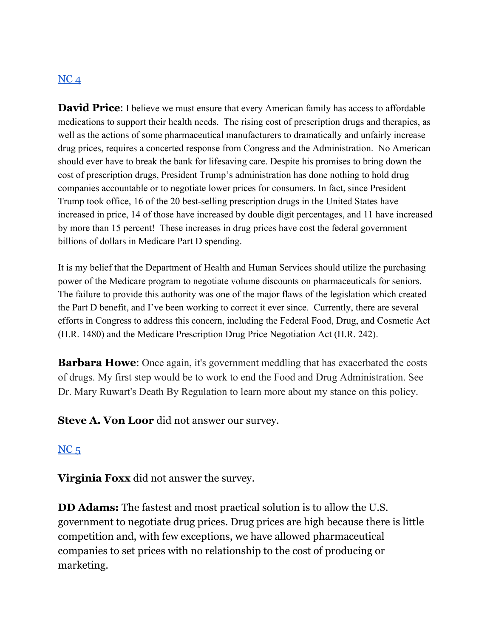#### $NC<sub>4</sub>$  $NC<sub>4</sub>$

**David Price:** I believe we must ensure that every American family has access to affordable medications to support their health needs. The rising cost of prescription drugs and therapies, as well as the actions of some pharmaceutical manufacturers to dramatically and unfairly increase drug prices, requires a concerted response from Congress and the Administration. No American should ever have to break the bank for lifesaving care. Despite his promises to bring down the cost of prescription drugs, President Trump's administration has done nothing to hold drug companies accountable or to negotiate lower prices for consumers. In fact, since President Trump took office, 16 of the 20 best-selling prescription drugs in the United States have increased in price, 14 of those have increased by double digit percentages, and 11 have increased by more than 15 percent! These increases in drug prices have cost the federal government billions of dollars in Medicare Part D spending.

It is my belief that the Department of Health and Human Services should utilize the purchasing power of the Medicare program to negotiate volume discounts on pharmaceuticals for seniors. The failure to provide this authority was one of the major flaws of the legislation which created the Part D benefit, and I've been working to correct it ever since. Currently, there are several efforts in Congress to address this concern, including the Federal Food, Drug, and Cosmetic Act (H.R. 1480) and the Medicare Prescription Drug Price Negotiation Act (H.R. 242).

**Barbara Howe:** Once again, it's government meddling that has exacerbated the costs of drugs. My first step would be to work to end the Food and Drug Administration. See Dr. Mary Ruwart's **Death By Regulation** to learn more about my stance on this policy.

**Steve A. Von Loor** did not answer our survey.

#### $NC<sub>5</sub>$  $NC<sub>5</sub>$

**Virginia Foxx** did not answer the survey.

**DD Adams:** The fastest and most practical solution is to allow the U.S. government to negotiate drug prices. Drug prices are high because there is little competition and, with few exceptions, we have allowed pharmaceutical companies to set prices with no relationship to the cost of producing or marketing.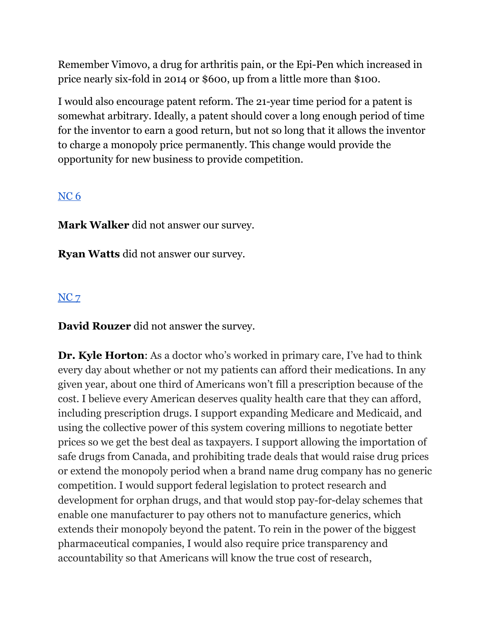Remember Vimovo, a drug for arthritis pain, or the Epi-Pen which increased in price nearly six-fold in 2014 or \$600, up from a little more than \$100.

I would also encourage patent reform. The 21-year time period for a patent is somewhat arbitrary. Ideally, a patent should cover a long enough period of time for the inventor to earn a good return, but not so long that it allows the inventor to charge a monopoly price permanently. This change would provide the opportunity for new business to provide competition.

#### [NC](https://docs.google.com/document/d/1cAsotr6xS9I-V4NP1ueB3T1dzRsHO07YN2hMv9b4xU0/edit?usp=sharing) 6

**Mark Walker** did not answer our survey.

**Ryan Watts** did not answer our survey.

## [NC](https://docs.google.com/document/d/1QKoGh33FjmS89YNY1wDfJ6fB9ikH0fC117WjizExMhc/edit?usp=sharing) 7

**David Rouzer** did not answer the survey.

**Dr. Kyle Horton**: As a doctor who's worked in primary care, I've had to think every day about whether or not my patients can afford their medications. In any given year, about one third of Americans won't fill a prescription because of the cost. I believe every American deserves quality health care that they can afford, including prescription drugs. I support expanding Medicare and Medicaid, and using the collective power of this system covering millions to negotiate better prices so we get the best deal as taxpayers. I support allowing the importation of safe drugs from Canada, and prohibiting trade deals that would raise drug prices or extend the monopoly period when a brand name drug company has no generic competition. I would support federal legislation to protect research and development for orphan drugs, and that would stop pay-for-delay schemes that enable one manufacturer to pay others not to manufacture generics, which extends their monopoly beyond the patent. To rein in the power of the biggest pharmaceutical companies, I would also require price transparency and accountability so that Americans will know the true cost of research,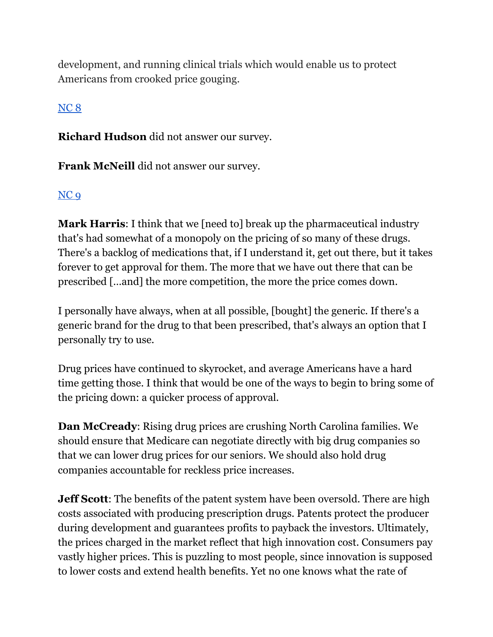development, and running clinical trials which would enable us to protect Americans from crooked price gouging.

## [NC](https://docs.google.com/document/d/1cAsotr6xS9I-V4NP1ueB3T1dzRsHO07YN2hMv9b4xU0/edit?usp=sharing) 8

**Richard Hudson** did not answer our survey.

**Frank McNeill** did not answer our survey.

### [NC](https://docs.google.com/document/d/1cAsotr6xS9I-V4NP1ueB3T1dzRsHO07YN2hMv9b4xU0/edit?usp=sharing) 9

**Mark Harris**: I think that we [need to] break up the pharmaceutical industry that's had somewhat of a monopoly on the pricing of so many of these drugs. There's a backlog of medications that, if I understand it, get out there, but it takes forever to get approval for them. The more that we have out there that can be prescribed […and] the more competition, the more the price comes down.

I personally have always, when at all possible, [bought] the generic. If there's a generic brand for the drug to that been prescribed, that's always an option that I personally try to use.

Drug prices have continued to skyrocket, and average Americans have a hard time getting those. I think that would be one of the ways to begin to bring some of the pricing down: a quicker process of approval.

**Dan McCready**: Rising drug prices are crushing North Carolina families. We should ensure that Medicare can negotiate directly with big drug companies so that we can lower drug prices for our seniors. We should also hold drug companies accountable for reckless price increases.

**Jeff Scott**: The benefits of the patent system have been oversold. There are high costs associated with producing prescription drugs. Patents protect the producer during development and guarantees profits to payback the investors. Ultimately, the prices charged in the market reflect that high innovation cost. Consumers pay vastly higher prices. This is puzzling to most people, since innovation is supposed to lower costs and extend health benefits. Yet no one knows what the rate of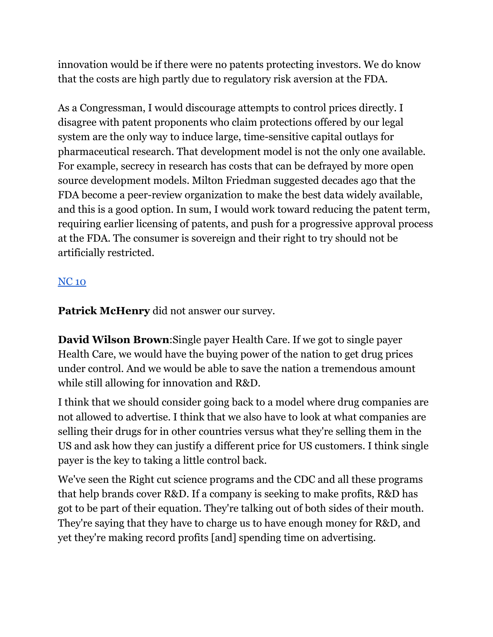innovation would be if there were no patents protecting investors. We do know that the costs are high partly due to regulatory risk aversion at the FDA.

As a Congressman, I would discourage attempts to control prices directly. I disagree with patent proponents who claim protections offered by our legal system are the only way to induce large, time-sensitive capital outlays for pharmaceutical research. That development model is not the only one available. For example, secrecy in research has costs that can be defrayed by more open source development models. Milton Friedman suggested decades ago that the FDA become a peer-review organization to make the best data widely available, and this is a good option. In sum, I would work toward reducing the patent term, requiring earlier licensing of patents, and push for a progressive approval process at the FDA. The consumer is sovereign and their right to try should not be artificially restricted.

## [NC](https://docs.google.com/document/d/1EwcDTcuh6JGaw8mrxqMd1mif60VC1AoJttBCXQFIKtA/edit?usp=sharing) 10

**Patrick McHenry** did not answer our survey.

**David Wilson Brown**:Single payer Health Care. If we got to single payer Health Care, we would have the buying power of the nation to get drug prices under control. And we would be able to save the nation a tremendous amount while still allowing for innovation and R&D.

I think that we should consider going back to a model where drug companies are not allowed to advertise. I think that we also have to look at what companies are selling their drugs for in other countries versus what they're selling them in the US and ask how they can justify a different price for US customers. I think single payer is the key to taking a little control back.

We've seen the Right cut science programs and the CDC and all these programs that help brands cover R&D. If a company is seeking to make profits, R&D has got to be part of their equation. They're talking out of both sides of their mouth. They're saying that they have to charge us to have enough money for R&D, and yet they're making record profits [and] spending time on advertising.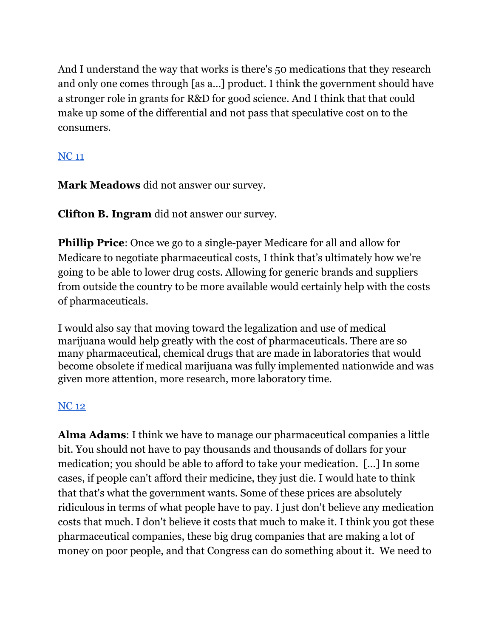And I understand the way that works is there's 50 medications that they research and only one comes through [as a…] product. I think the government should have a stronger role in grants for R&D for good science. And I think that that could make up some of the differential and not pass that speculative cost on to the consumers.

## [NC](https://docs.google.com/document/d/1EwcDTcuh6JGaw8mrxqMd1mif60VC1AoJttBCXQFIKtA/edit?usp=sharing) 11

**Mark Meadows** did not answer our survey.

**Clifton B. Ingram** did not answer our survey.

**Phillip Price**: Once we go to a single-payer Medicare for all and allow for Medicare to negotiate pharmaceutical costs, I think that's ultimately how we're going to be able to lower drug costs. Allowing for generic brands and suppliers from outside the country to be more available would certainly help with the costs of pharmaceuticals.

I would also say that moving toward the legalization and use of medical marijuana would help greatly with the cost of pharmaceuticals. There are so many pharmaceutical, chemical drugs that are made in laboratories that would become obsolete if medical marijuana was fully implemented nationwide and was given more attention, more research, more laboratory time.

## [NC](https://docs.google.com/document/d/1EwcDTcuh6JGaw8mrxqMd1mif60VC1AoJttBCXQFIKtA/edit?usp=sharing) 12

**Alma Adams**: I think we have to manage our pharmaceutical companies a little bit. You should not have to pay thousands and thousands of dollars for your medication; you should be able to afford to take your medication. […] In some cases, if people can't afford their medicine, they just die. I would hate to think that that's what the government wants. Some of these prices are absolutely ridiculous in terms of what people have to pay. I just don't believe any medication costs that much. I don't believe it costs that much to make it. I think you got these pharmaceutical companies, these big drug companies that are making a lot of money on poor people, and that Congress can do something about it. We need to